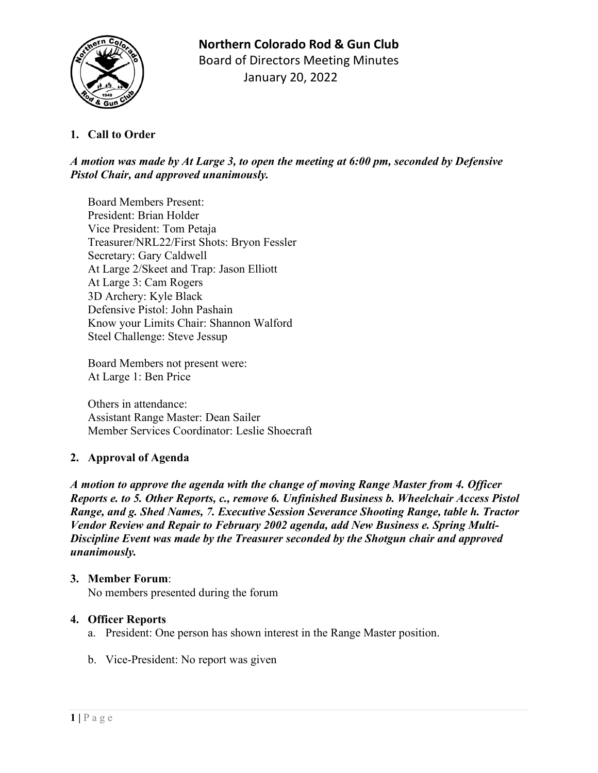

# **1. Call to Order**

## *A motion was made by At Large 3, to open the meeting at 6:00 pm, seconded by Defensive Pistol Chair, and approved unanimously.*

Board Members Present: President: Brian Holder Vice President: Tom Petaja Treasurer/NRL22/First Shots: Bryon Fessler Secretary: Gary Caldwell At Large 2/Skeet and Trap: Jason Elliott At Large 3: Cam Rogers 3D Archery: Kyle Black Defensive Pistol: John Pashain Know your Limits Chair: Shannon Walford Steel Challenge: Steve Jessup

Board Members not present were: At Large 1: Ben Price

Others in attendance: Assistant Range Master: Dean Sailer Member Services Coordinator: Leslie Shoecraft

# **2. Approval of Agenda**

*A motion to approve the agenda with the change of moving Range Master from 4. Officer Reports e. to 5. Other Reports, c., remove 6. Unfinished Business b. Wheelchair Access Pistol Range, and g. Shed Names, 7. Executive Session Severance Shooting Range, table h. Tractor Vendor Review and Repair to February 2002 agenda, add New Business e. Spring Multi-Discipline Event was made by the Treasurer seconded by the Shotgun chair and approved unanimously.*

#### **3. Member Forum**:

No members presented during the forum

#### **4. Officer Reports**

- a. President: One person has shown interest in the Range Master position.
- b. Vice-President: No report was given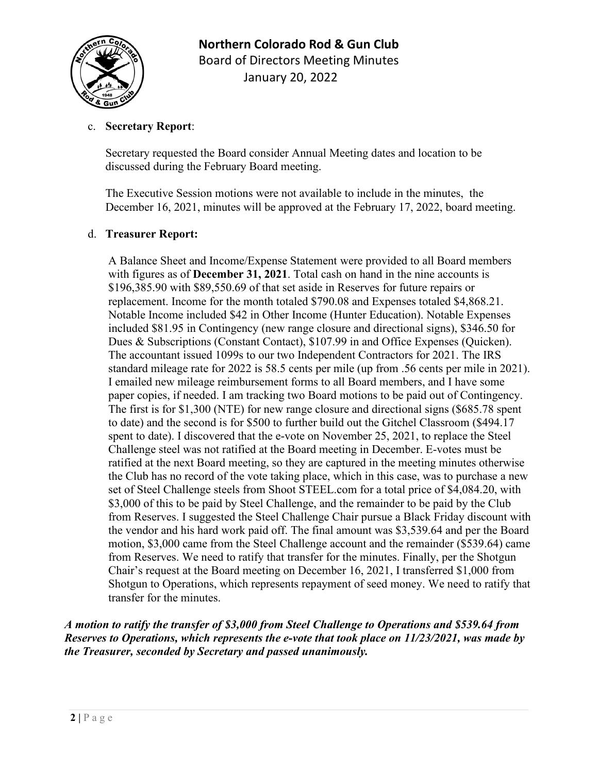

### c. **Secretary Report**:

Secretary requested the Board consider Annual Meeting dates and location to be discussed during the February Board meeting.

The Executive Session motions were not available to include in the minutes, the December 16, 2021, minutes will be approved at the February 17, 2022, board meeting.

#### d. **Treasurer Report:**

A Balance Sheet and Income/Expense Statement were provided to all Board members with figures as of **December 31, 2021**. Total cash on hand in the nine accounts is \$196,385.90 with \$89,550.69 of that set aside in Reserves for future repairs or replacement. Income for the month totaled \$790.08 and Expenses totaled \$4,868.21. Notable Income included \$42 in Other Income (Hunter Education). Notable Expenses included \$81.95 in Contingency (new range closure and directional signs), \$346.50 for Dues & Subscriptions (Constant Contact), \$107.99 in and Office Expenses (Quicken). The accountant issued 1099s to our two Independent Contractors for 2021. The IRS standard mileage rate for 2022 is 58.5 cents per mile (up from .56 cents per mile in 2021). I emailed new mileage reimbursement forms to all Board members, and I have some paper copies, if needed. I am tracking two Board motions to be paid out of Contingency. The first is for \$1,300 (NTE) for new range closure and directional signs (\$685.78 spent to date) and the second is for \$500 to further build out the Gitchel Classroom (\$494.17 spent to date). I discovered that the e-vote on November 25, 2021, to replace the Steel Challenge steel was not ratified at the Board meeting in December. E-votes must be ratified at the next Board meeting, so they are captured in the meeting minutes otherwise the Club has no record of the vote taking place, which in this case, was to purchase a new set of Steel Challenge steels from Shoot STEEL.com for a total price of \$4,084.20, with \$3,000 of this to be paid by Steel Challenge, and the remainder to be paid by the Club from Reserves. I suggested the Steel Challenge Chair pursue a Black Friday discount with the vendor and his hard work paid off. The final amount was \$3,539.64 and per the Board motion, \$3,000 came from the Steel Challenge account and the remainder (\$539.64) came from Reserves. We need to ratify that transfer for the minutes. Finally, per the Shotgun Chair's request at the Board meeting on December 16, 2021, I transferred \$1,000 from Shotgun to Operations, which represents repayment of seed money. We need to ratify that transfer for the minutes.

*A motion to ratify the transfer of \$3,000 from Steel Challenge to Operations and \$539.64 from Reserves to Operations, which represents the e-vote that took place on 11/23/2021, was made by the Treasurer, seconded by Secretary and passed unanimously.*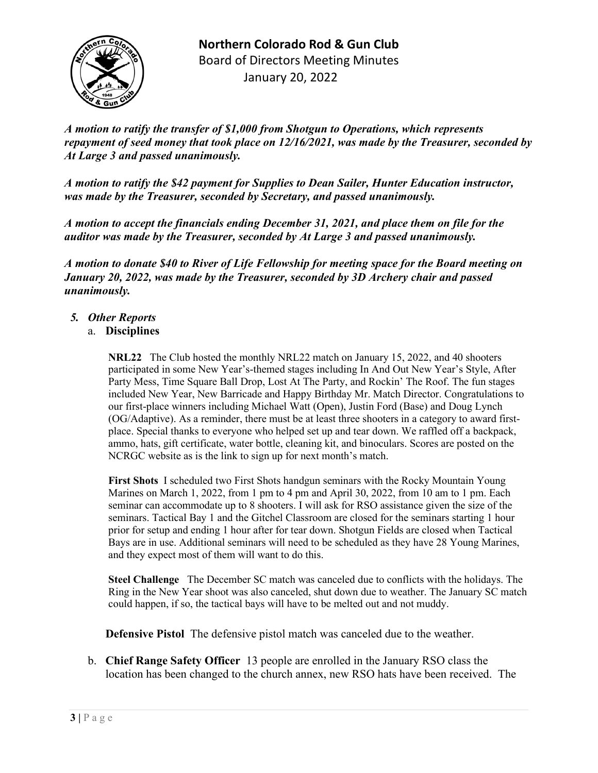

*A motion to ratify the transfer of \$1,000 from Shotgun to Operations, which represents repayment of seed money that took place on 12/16/2021, was made by the Treasurer, seconded by At Large 3 and passed unanimously.*

*A motion to ratify the \$42 payment for Supplies to Dean Sailer, Hunter Education instructor, was made by the Treasurer, seconded by Secretary, and passed unanimously.*

*A motion to accept the financials ending December 31, 2021, and place them on file for the auditor was made by the Treasurer, seconded by At Large 3 and passed unanimously.*

*A motion to donate \$40 to River of Life Fellowship for meeting space for the Board meeting on January 20, 2022, was made by the Treasurer, seconded by 3D Archery chair and passed unanimously.*

## *5. Other Reports*

#### a. **Disciplines**

**NRL22** The Club hosted the monthly NRL22 match on January 15, 2022, and 40 shooters participated in some New Year's-themed stages including In And Out New Year's Style, After Party Mess, Time Square Ball Drop, Lost At The Party, and Rockin' The Roof. The fun stages included New Year, New Barricade and Happy Birthday Mr. Match Director. Congratulations to our first-place winners including Michael Watt (Open), Justin Ford (Base) and Doug Lynch (OG/Adaptive). As a reminder, there must be at least three shooters in a category to award firstplace. Special thanks to everyone who helped set up and tear down. We raffled off a backpack, ammo, hats, gift certificate, water bottle, cleaning kit, and binoculars. Scores are posted on the NCRGC website as is the link to sign up for next month's match.

**First Shots** I scheduled two First Shots handgun seminars with the Rocky Mountain Young Marines on March 1, 2022, from 1 pm to 4 pm and April 30, 2022, from 10 am to 1 pm. Each seminar can accommodate up to 8 shooters. I will ask for RSO assistance given the size of the seminars. Tactical Bay 1 and the Gitchel Classroom are closed for the seminars starting 1 hour prior for setup and ending 1 hour after for tear down. Shotgun Fields are closed when Tactical Bays are in use. Additional seminars will need to be scheduled as they have 28 Young Marines, and they expect most of them will want to do this.

**Steel Challenge** The December SC match was canceled due to conflicts with the holidays. The Ring in the New Year shoot was also canceled, shut down due to weather. The January SC match could happen, if so, the tactical bays will have to be melted out and not muddy.

**Defensive Pistol** The defensive pistol match was canceled due to the weather.

b. **Chief Range Safety Officer** 13 people are enrolled in the January RSO class the location has been changed to the church annex, new RSO hats have been received. The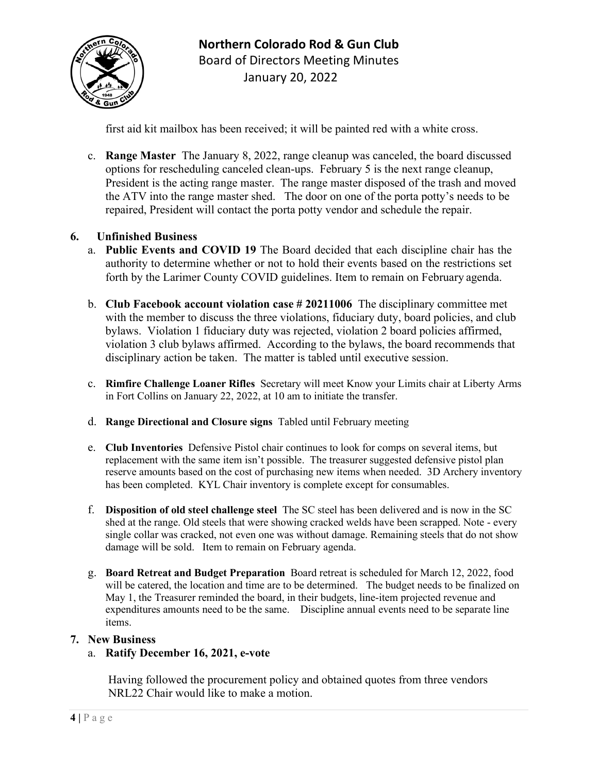

first aid kit mailbox has been received; it will be painted red with a white cross.

c. **Range Master** The January 8, 2022, range cleanup was canceled, the board discussed options for rescheduling canceled clean-ups. February 5 is the next range cleanup, President is the acting range master. The range master disposed of the trash and moved the ATV into the range master shed. The door on one of the porta potty's needs to be repaired, President will contact the porta potty vendor and schedule the repair.

# **6. Unfinished Business**

- a. **Public Events and COVID 19** The Board decided that each discipline chair has the authority to determine whether or not to hold their events based on the restrictions set forth by the Larimer County COVID guidelines. Item to remain on February agenda.
- b. **Club Facebook account violation case # 20211006** The disciplinary committee met with the member to discuss the three violations, fiduciary duty, board policies, and club bylaws. Violation 1 fiduciary duty was rejected, violation 2 board policies affirmed, violation 3 club bylaws affirmed. According to the bylaws, the board recommends that disciplinary action be taken. The matter is tabled until executive session.
- c. **Rimfire Challenge Loaner Rifles** Secretary will meet Know your Limits chair at Liberty Arms in Fort Collins on January 22, 2022, at 10 am to initiate the transfer.
- d. **Range Directional and Closure signs** Tabled until February meeting
- e. **Club Inventories** Defensive Pistol chair continues to look for comps on several items, but replacement with the same item isn't possible. The treasurer suggested defensive pistol plan reserve amounts based on the cost of purchasing new items when needed. 3D Archery inventory has been completed. KYL Chair inventory is complete except for consumables.
- f. **Disposition of old steel challenge steel** The SC steel has been delivered and is now in the SC shed at the range. Old steels that were showing cracked welds have been scrapped. Note - every single collar was cracked, not even one was without damage. Remaining steels that do not show damage will be sold. Item to remain on February agenda.
- g. **Board Retreat and Budget Preparation** Board retreat is scheduled for March 12, 2022, food will be catered, the location and time are to be determined. The budget needs to be finalized on May 1, the Treasurer reminded the board, in their budgets, line-item projected revenue and expenditures amounts need to be the same. Discipline annual events need to be separate line items.

#### **7. New Business**

#### a. **Ratify December 16, 2021, e-vote**

Having followed the procurement policy and obtained quotes from three vendors NRL22 Chair would like to make a motion.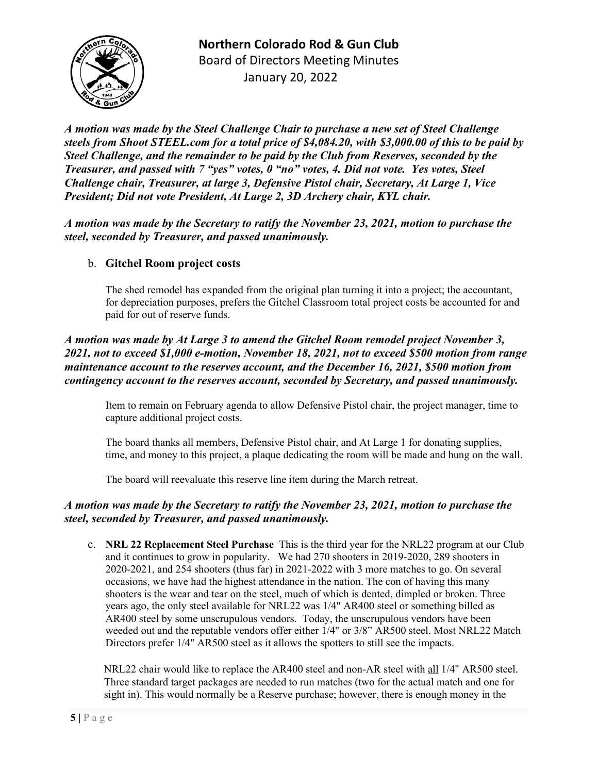**Northern Colorado Rod & Gun Club** Board of Directors Meeting Minutes January 20, 2022

*A motion was made by the Steel Challenge Chair to purchase a new set of Steel Challenge steels from Shoot STEEL.com for a total price of \$4,084.20, with \$3,000.00 of this to be paid by Steel Challenge, and the remainder to be paid by the Club from Reserves, seconded by the Treasurer, and passed with 7 "yes" votes, 0 "no" votes, 4. Did not vote. Yes votes, Steel Challenge chair, Treasurer, at large 3, Defensive Pistol chair, Secretary, At Large 1, Vice President; Did not vote President, At Large 2, 3D Archery chair, KYL chair.*

*A motion was made by the Secretary to ratify the November 23, 2021, motion to purchase the steel, seconded by Treasurer, and passed unanimously.*

#### b. **Gitchel Room project costs**

The shed remodel has expanded from the original plan turning it into a project; the accountant, for depreciation purposes, prefers the Gitchel Classroom total project costs be accounted for and paid for out of reserve funds.

### *A motion was made by At Large 3 to amend the Gitchel Room remodel project November 3, 2021, not to exceed \$1,000 e-motion, November 18, 2021, not to exceed \$500 motion from range maintenance account to the reserves account, and the December 16, 2021, \$500 motion from contingency account to the reserves account, seconded by Secretary, and passed unanimously.*

Item to remain on February agenda to allow Defensive Pistol chair, the project manager, time to capture additional project costs.

The board thanks all members, Defensive Pistol chair, and At Large 1 for donating supplies, time, and money to this project, a plaque dedicating the room will be made and hung on the wall.

The board will reevaluate this reserve line item during the March retreat.

#### *A motion was made by the Secretary to ratify the November 23, 2021, motion to purchase the steel, seconded by Treasurer, and passed unanimously.*

c. **NRL 22 Replacement Steel Purchase** This is the third year for the NRL22 program at our Club and it continues to grow in popularity. We had 270 shooters in 2019-2020, 289 shooters in 2020-2021, and 254 shooters (thus far) in 2021-2022 with 3 more matches to go. On several occasions, we have had the highest attendance in the nation. The con of having this many shooters is the wear and tear on the steel, much of which is dented, dimpled or broken. Three years ago, the only steel available for NRL22 was 1/4" AR400 steel or something billed as AR400 steel by some unscrupulous vendors. Today, the unscrupulous vendors have been weeded out and the reputable vendors offer either 1/4" or 3/8" AR500 steel. Most NRL22 Match Directors prefer 1/4" AR500 steel as it allows the spotters to still see the impacts.

NRL22 chair would like to replace the AR400 steel and non-AR steel with all 1/4" AR500 steel. Three standard target packages are needed to run matches (two for the actual match and one for sight in). This would normally be a Reserve purchase; however, there is enough money in the